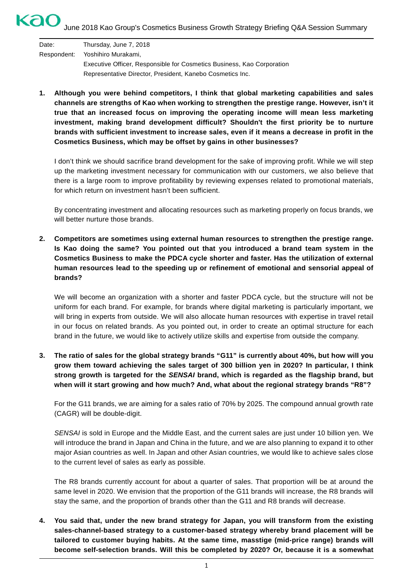# KaO June 2018 Kao Group's Cosmetics Business Growth Strategy Briefing Q&A Session Summary

| Date: | Thursday, June 7, 2018                                                 |
|-------|------------------------------------------------------------------------|
|       | Respondent: Yoshihiro Murakami.                                        |
|       | Executive Officer, Responsible for Cosmetics Business, Kao Corporation |
|       | Representative Director, President, Kanebo Cosmetics Inc.              |

**1. Although you were behind competitors, I think that global marketing capabilities and sales channels are strengths of Kao when working to strengthen the prestige range. However, isn't it true that an increased focus on improving the operating income will mean less marketing investment, making brand development difficult? Shouldn't the first priority be to nurture brands with sufficient investment to increase sales, even if it means a decrease in profit in the Cosmetics Business, which may be offset by gains in other businesses?**

I don't think we should sacrifice brand development for the sake of improving profit. While we will step up the marketing investment necessary for communication with our customers, we also believe that there is a large room to improve profitability by reviewing expenses related to promotional materials, for which return on investment hasn't been sufficient.

By concentrating investment and allocating resources such as marketing properly on focus brands, we will better nurture those brands.

**2. Competitors are sometimes using external human resources to strengthen the prestige range. Is Kao doing the same? You pointed out that you introduced a brand team system in the Cosmetics Business to make the PDCA cycle shorter and faster. Has the utilization of external human resources lead to the speeding up or refinement of emotional and sensorial appeal of brands?**

We will become an organization with a shorter and faster PDCA cycle, but the structure will not be uniform for each brand. For example, for brands where digital marketing is particularly important, we will bring in experts from outside. We will also allocate human resources with expertise in travel retail in our focus on related brands. As you pointed out, in order to create an optimal structure for each brand in the future, we would like to actively utilize skills and expertise from outside the company.

**3. The ratio of sales for the global strategy brands "G11" is currently about 40%, but how will you grow them toward achieving the sales target of 300 billion yen in 2020? In particular, I think strong growth is targeted for the** *SENSAI* **brand, which is regarded as the flagship brand, but when will it start growing and how much? And, what about the regional strategy brands "R8"?**

For the G11 brands, we are aiming for a sales ratio of 70% by 2025. The compound annual growth rate (CAGR) will be double-digit.

*SENSAI* is sold in Europe and the Middle East, and the current sales are just under 10 billion yen. We will introduce the brand in Japan and China in the future, and we are also planning to expand it to other major Asian countries as well. In Japan and other Asian countries, we would like to achieve sales close to the current level of sales as early as possible.

The R8 brands currently account for about a quarter of sales. That proportion will be at around the same level in 2020. We envision that the proportion of the G11 brands will increase, the R8 brands will stay the same, and the proportion of brands other than the G11 and R8 brands will decrease.

**4. You said that, under the new brand strategy for Japan, you will transform from the existing sales-channel-based strategy to a customer-based strategy whereby brand placement will be tailored to customer buying habits. At the same time, masstige (mid-price range) brands will become self-selection brands. Will this be completed by 2020? Or, because it is a somewhat**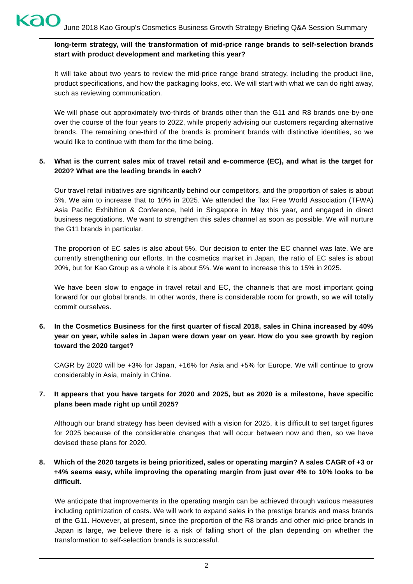## **long-term strategy, will the transformation of mid-price range brands to self-selection brands start with product development and marketing this year?**

It will take about two years to review the mid-price range brand strategy, including the product line, product specifications, and how the packaging looks, etc. We will start with what we can do right away, such as reviewing communication.

We will phase out approximately two-thirds of brands other than the G11 and R8 brands one-by-one over the course of the four years to 2022, while properly advising our customers regarding alternative brands. The remaining one-third of the brands is prominent brands with distinctive identities, so we would like to continue with them for the time being.

### **5. What is the current sales mix of travel retail and e-commerce (EC), and what is the target for 2020? What are the leading brands in each?**

Our travel retail initiatives are significantly behind our competitors, and the proportion of sales is about 5%. We aim to increase that to 10% in 2025. We attended the Tax Free World Association (TFWA) Asia Pacific Exhibition & Conference, held in Singapore in May this year, and engaged in direct business negotiations. We want to strengthen this sales channel as soon as possible. We will nurture the G11 brands in particular.

The proportion of EC sales is also about 5%. Our decision to enter the EC channel was late. We are currently strengthening our efforts. In the cosmetics market in Japan, the ratio of EC sales is about 20%, but for Kao Group as a whole it is about 5%. We want to increase this to 15% in 2025.

We have been slow to engage in travel retail and EC, the channels that are most important going forward for our global brands. In other words, there is considerable room for growth, so we will totally commit ourselves.

**6. In the Cosmetics Business for the first quarter of fiscal 2018, sales in China increased by 40% year on year, while sales in Japan were down year on year. How do you see growth by region toward the 2020 target?**

CAGR by 2020 will be +3% for Japan, +16% for Asia and +5% for Europe. We will continue to grow considerably in Asia, mainly in China.

#### **7. It appears that you have targets for 2020 and 2025, but as 2020 is a milestone, have specific plans been made right up until 2025?**

Although our brand strategy has been devised with a vision for 2025, it is difficult to set target figures for 2025 because of the considerable changes that will occur between now and then, so we have devised these plans for 2020.

### **8. Which of the 2020 targets is being prioritized, sales or operating margin? A sales CAGR of +3 or +4% seems easy, while improving the operating margin from just over 4% to 10% looks to be difficult.**

We anticipate that improvements in the operating margin can be achieved through various measures including optimization of costs. We will work to expand sales in the prestige brands and mass brands of the G11. However, at present, since the proportion of the R8 brands and other mid-price brands in Japan is large, we believe there is a risk of falling short of the plan depending on whether the transformation to self-selection brands is successful.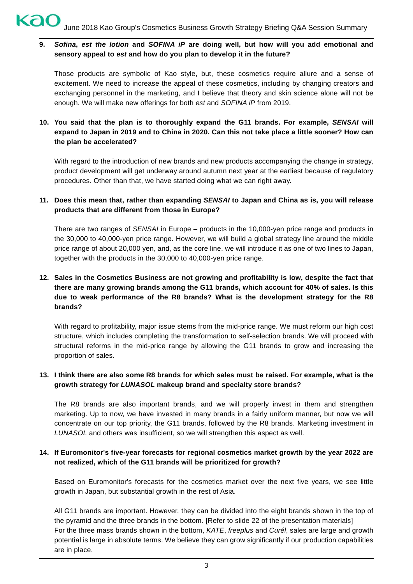**9.** *Sofina***,** *est the lotion* **and** *SOFINA iP* **are doing well, but how will you add emotional and sensory appeal to** *est* **and how do you plan to develop it in the future?**

Those products are symbolic of Kao style, but, these cosmetics require allure and a sense of excitement. We need to increase the appeal of these cosmetics, including by changing creators and exchanging personnel in the marketing, and I believe that theory and skin science alone will not be enough. We will make new offerings for both *est* and *SOFINA iP* from 2019.

**10. You said that the plan is to thoroughly expand the G11 brands. For example,** *SENSAI* **will expand to Japan in 2019 and to China in 2020. Can this not take place a little sooner? How can the plan be accelerated?**

With regard to the introduction of new brands and new products accompanying the change in strategy, product development will get underway around autumn next year at the earliest because of regulatory procedures. Other than that, we have started doing what we can right away.

### **11. Does this mean that, rather than expanding** *SENSAI* **to Japan and China as is, you will release products that are different from those in Europe?**

There are two ranges of *SENSAI* in Europe – products in the 10,000-yen price range and products in the 30,000 to 40,000-yen price range. However, we will build a global strategy line around the middle price range of about 20,000 yen, and, as the core line, we will introduce it as one of two lines to Japan, together with the products in the 30,000 to 40,000-yen price range.

## **12. Sales in the Cosmetics Business are not growing and profitability is low, despite the fact that there are many growing brands among the G11 brands, which account for 40% of sales. Is this due to weak performance of the R8 brands? What is the development strategy for the R8 brands?**

With regard to profitability, major issue stems from the mid-price range. We must reform our high cost structure, which includes completing the transformation to self-selection brands. We will proceed with structural reforms in the mid-price range by allowing the G11 brands to grow and increasing the proportion of sales.

#### **13. I think there are also some R8 brands for which sales must be raised. For example, what is the growth strategy for** *LUNASOL* **makeup brand and specialty store brands?**

The R8 brands are also important brands, and we will properly invest in them and strengthen marketing. Up to now, we have invested in many brands in a fairly uniform manner, but now we will concentrate on our top priority, the G11 brands, followed by the R8 brands. Marketing investment in *LUNASOL* and others was insufficient, so we will strengthen this aspect as well.

#### **14. If Euromonitor's five-year forecasts for regional cosmetics market growth by the year 2022 are not realized, which of the G11 brands will be prioritized for growth?**

Based on Euromonitor's forecasts for the cosmetics market over the next five years, we see little growth in Japan, but substantial growth in the rest of Asia.

All G11 brands are important. However, they can be divided into the eight brands shown in the top of the pyramid and the three brands in the bottom. [Refer to slide 22 of the presentation materials] For the three mass brands shown in the bottom, *KATE*, *freeplus* and *Curél*, sales are large and growth potential is large in absolute terms. We believe they can grow significantly if our production capabilities are in place.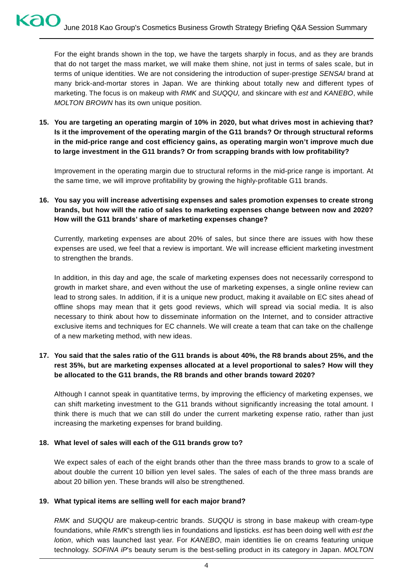For the eight brands shown in the top, we have the targets sharply in focus, and as they are brands that do not target the mass market, we will make them shine, not just in terms of sales scale, but in terms of unique identities. We are not considering the introduction of super-prestige *SENSAI* brand at many brick-and-mortar stores in Japan. We are thinking about totally new and different types of marketing. The focus is on makeup with *RMK* and *SUQQU,* and skincare with *est* and *KANEBO*, while *MOLTON BROWN* has its own unique position.

**15. You are targeting an operating margin of 10% in 2020, but what drives most in achieving that? Is it the improvement of the operating margin of the G11 brands? Or through structural reforms in the mid-price range and cost efficiency gains, as operating margin won't improve much due to large investment in the G11 brands? Or from scrapping brands with low profitability?**

Improvement in the operating margin due to structural reforms in the mid-price range is important. At the same time, we will improve profitability by growing the highly-profitable G11 brands.

## **16. You say you will increase advertising expenses and sales promotion expenses to create strong brands, but how will the ratio of sales to marketing expenses change between now and 2020? How will the G11 brands' share of marketing expenses change?**

Currently, marketing expenses are about 20% of sales, but since there are issues with how these expenses are used, we feel that a review is important. We will increase efficient marketing investment to strengthen the brands.

In addition, in this day and age, the scale of marketing expenses does not necessarily correspond to growth in market share, and even without the use of marketing expenses, a single online review can lead to strong sales. In addition, if it is a unique new product, making it available on EC sites ahead of offline shops may mean that it gets good reviews, which will spread via social media. It is also necessary to think about how to disseminate information on the Internet, and to consider attractive exclusive items and techniques for EC channels. We will create a team that can take on the challenge of a new marketing method, with new ideas.

## **17. You said that the sales ratio of the G11 brands is about 40%, the R8 brands about 25%, and the rest 35%, but are marketing expenses allocated at a level proportional to sales? How will they be allocated to the G11 brands, the R8 brands and other brands toward 2020?**

Although I cannot speak in quantitative terms, by improving the efficiency of marketing expenses, we can shift marketing investment to the G11 brands without significantly increasing the total amount. I think there is much that we can still do under the current marketing expense ratio, rather than just increasing the marketing expenses for brand building.

#### **18. What level of sales will each of the G11 brands grow to?**

We expect sales of each of the eight brands other than the three mass brands to grow to a scale of about double the current 10 billion yen level sales. The sales of each of the three mass brands are about 20 billion yen. These brands will also be strengthened.

#### **19. What typical items are selling well for each major brand?**

*RMK* and *SUQQU* are makeup-centric brands. *SUQQU* is strong in base makeup with cream-type foundations, while *RMK*'s strength lies in foundations and lipsticks. *est* has been doing well with *est the lotion*, which was launched last year. For *KANEBO*, main identities lie on creams featuring unique technology. *SOFINA iP*'s beauty serum is the best-selling product in its category in Japan. *MOLTON*